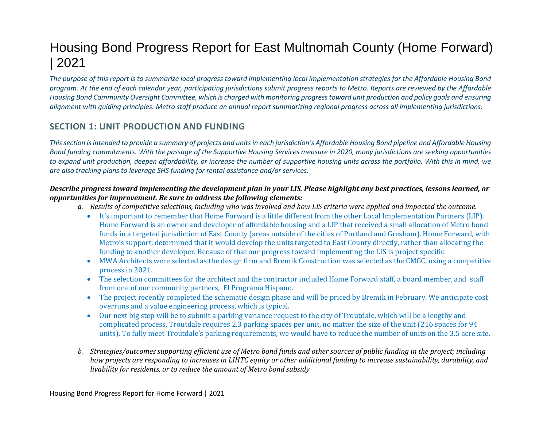# Housing Bond Progress Report for East Multnomah County (Home Forward) | 2021

*The purpose of this report is to summarize local progress toward implementing local implementation strategies for the Affordable Housing Bond program. At the end of each calendar year, participating jurisdictions submit progress reports to Metro. Reports are reviewed by the Affordable Housing Bond Community Oversight Committee, which is charged with monitoring progress toward unit production and policy goals and ensuring alignment with guiding principles. Metro staff produce an annual report summarizing regional progress across all implementing jurisdictions.* 

# **SECTION 1: UNIT PRODUCTION AND FUNDING**

*Thissection is intended to provide a summary of projects and units in each jurisdiction's Affordable Housing Bond pipeline and Affordable Housing Bond funding commitments. With the passage of the Supportive Housing Services measure in 2020, many jurisdictions are seeking opportunities to expand unit production, deepen affordability, or increase the number of supportive housing units across the portfolio. With this in mind, we are also tracking plans to leverage SHS funding for rental assistance and/or services.* 

### *Describe progress toward implementing the development plan in your LIS. Please highlight any best practices, lessons learned, or opportunities for improvement. Be sure to address the following elements:*

- *a. Results of competitive selections, including who was involved and how LIS criteria were applied and impacted the outcome.*
	- It's important to remember that Home Forward is a little different from the other Local Implementation Partners (LIP). Home Forward is an owner and developer of affordable housing and a LIP that received a small allocation of Metro bond funds in a targeted jurisdiction of East County (areas outside of the cities of Portland and Gresham). Home Forward, with Metro's support, determined that it would develop the units targeted to East County directly, rather than allocating the funding to another developer. Because of that our progress toward implementing the LIS is project specific.
	- MWA Architects were selected as the design firm and Bremik Construction was selected as the CMGC, using a competitive process in 2021.
	- The selection committees for the architect and the contractor included Home Forward staff, a board member, and staff from one of our community partners, El Programa Hispano.
	- The project recently completed the schematic design phase and will be priced by Bremik in February. We anticipate cost overruns and a value engineering process, which is typical.
	- Our next big step will be to submit a parking variance request to the city of Troutdale, which will be a lengthy and complicated process. Troutdale requires 2.3 parking spaces per unit, no matter the size of the unit (216 spaces for 94 units). To fully meet Troutdale's parking requirements, we would have to reduce the number of units on the 3.5 acre site.
- *b. Strategies/outcomes supporting efficient use of Metro bond funds and other sources of public funding in the project; including how projects are responding to increases in LIHTC equity or other additional funding to increase sustainability, durability, and livability for residents, or to reduce the amount of Metro bond subsidy*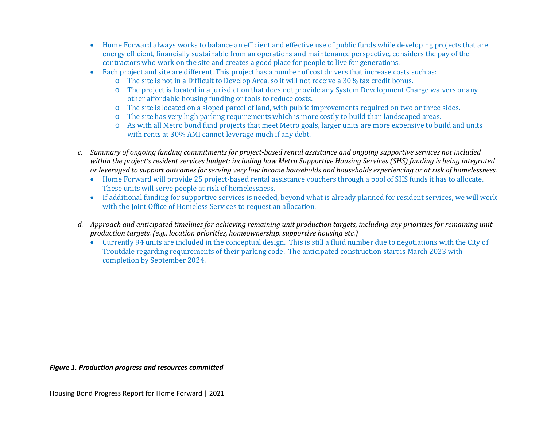- Home Forward always works to balance an efficient and effective use of public funds while developing projects that are energy efficient, financially sustainable from an operations and maintenance perspective, considers the pay of the contractors who work on the site and creates a good place for people to live for generations.
- Each project and site are different. This project has a number of cost drivers that increase costs such as:
	- o The site is not in a Difficult to Develop Area, so it will not receive a 30% tax credit bonus.
	- o The project is located in a jurisdiction that does not provide any System Development Charge waivers or any other affordable housing funding or tools to reduce costs.
	- o The site is located on a sloped parcel of land, with public improvements required on two or three sides.
	- o The site has very high parking requirements which is more costly to build than landscaped areas.
	- o As with all Metro bond fund projects that meet Metro goals, larger units are more expensive to build and units with rents at 30% AMI cannot leverage much if any debt.
- *c. Summary of ongoing funding commitments for project-based rental assistance and ongoing supportive services not included within the project's resident services budget; including how Metro Supportive Housing Services (SHS) funding is being integrated or leveraged to support outcomes for serving very low income households and households experiencing or at risk of homelessness.*
	- Home Forward will provide 25 project-based rental assistance vouchers through a pool of SHS funds it has to allocate. These units will serve people at risk of homelessness.
	- If additional funding for supportive services is needed, beyond what is already planned for resident services, we will work with the Joint Office of Homeless Services to request an allocation.
- *d. Approach and anticipated timelines for achieving remaining unit production targets, including any priorities for remaining unit production targets. (e.g., location priorities, homeownership, supportive housing etc.)*
	- Currently 94 units are included in the conceptual design. This is still a fluid number due to negotiations with the City of Troutdale regarding requirements of their parking code. The anticipated construction start is March 2023 with completion by September 2024.

#### *Figure 1. Production progress and resources committed*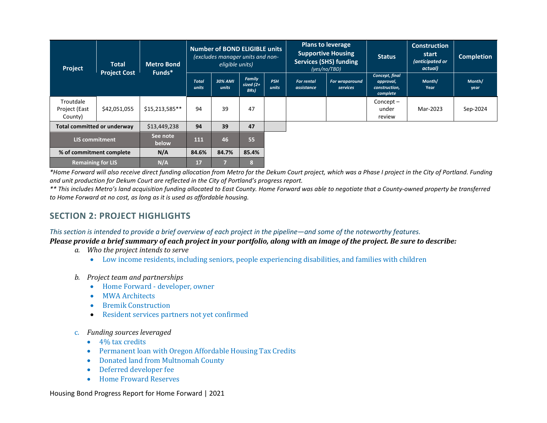| Project                               | <b>Total</b><br><b>Project Cost</b> | <b>Metro Bond</b><br>Funds* | <b>Number of BOND ELIGIBLE units</b><br>lexcludes manager units and non-<br>eligible units) |                  |                                | <b>Plans to leverage</b><br><b>Supportive Housing</b><br><b>Services (SHS) funding</b><br>(yes/no/TBD) |                                 | <b>Status</b>                     | <b>Construction</b><br>start<br>(anticipated or<br>actual) | <b>Completion</b> |                |
|---------------------------------------|-------------------------------------|-----------------------------|---------------------------------------------------------------------------------------------|------------------|--------------------------------|--------------------------------------------------------------------------------------------------------|---------------------------------|-----------------------------------|------------------------------------------------------------|-------------------|----------------|
|                                       |                                     |                             | <b>Total</b><br>units                                                                       | 30% AMI<br>units | Family<br>sized $(2+)$<br>BRs) | <b>PSH</b><br>units                                                                                    | <b>For rental</b><br>assistance | <b>For wraparound</b><br>services | Concept, final<br>approval,<br>construction,<br>complete   | Month/<br>Year    | Month/<br>year |
| Troutdale<br>Project (East<br>County) | \$42,051,055                        | \$15,213,585**              | 94                                                                                          | 39               | 47                             |                                                                                                        |                                 |                                   | $Concept -$<br>under<br>review                             | Mar-2023          | Sep-2024       |
| Total committed or underway           |                                     | \$13,449,238                | 94                                                                                          | 39               | 47                             |                                                                                                        |                                 |                                   |                                                            |                   |                |
| <b>LIS commitment</b>                 |                                     | See note<br>below           | 111                                                                                         | 46               | 55                             |                                                                                                        |                                 |                                   |                                                            |                   |                |
| % of commitment complete              |                                     | N/A                         | 84.6%                                                                                       | 84.7%            | 85.4%                          |                                                                                                        |                                 |                                   |                                                            |                   |                |
| <b>Remaining for LIS</b>              |                                     | N/A                         | 17                                                                                          |                  | 8                              |                                                                                                        |                                 |                                   |                                                            |                   |                |

*\*Home Forward will also receive direct funding allocation from Metro for the Dekum Court project, which was a Phase I project in the City of Portland. Funding and unit production for Dekum Court are reflected in the City of Portland's progress report.* 

*\*\* This includes Metro's land acquisition funding allocated to East County. Home Forward was able to negotiate that a County-owned property be transferred to Home Forward at no cost, as long as it is used as affordable housing.* 

### **SECTION 2: PROJECT HIGHLIGHTS**

*This section is intended to provide a brief overview of each project in the pipeline—and some of the noteworthy features.* 

*Please provide a brief summary of each project in your portfolio, along with an image of the project. Be sure to describe:*

- *a. Who the project intends to serve*
	- Low income residents, including seniors, people experiencing disabilities, and families with children
- *b. Project team and partnerships*
	- Home Forward developer, owner
	- MWA Architects
	- Bremik Construction
	- Resident services partners not yet confirmed
- c. *Funding sources leveraged*
	- 4% tax credits
	- Permanent loan with Oregon Affordable Housing Tax Credits
	- Donated land from Multnomah County
	- Deferred developer fee
	- Home Froward Reserves

Housing Bond Progress Report for Home Forward | 2021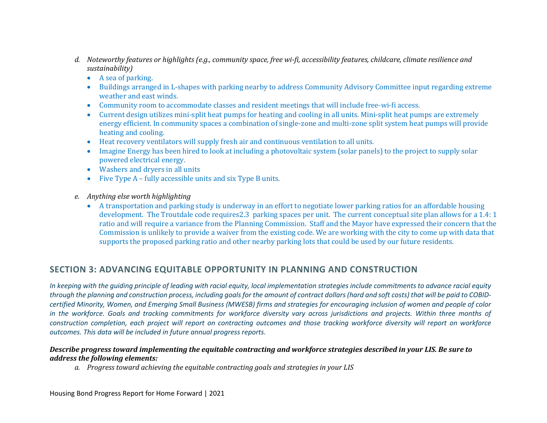- *d. Noteworthy features or highlights (e.g., community space, free wi-fi, accessibility features, childcare, climate resilience and sustainability)*
	- A sea of parking.
	- Buildings arranged in L-shapes with parking nearby to address Community Advisory Committee input regarding extreme weather and east winds.
	- Community room to accommodate classes and resident meetings that will include free-wi-fi access.
	- Current design utilizes mini-split heat pumps for heating and cooling in all units. Mini-split heat pumps are extremely energy efficient. In community spaces a combination of single-zone and multi-zone split system heat pumps will provide heating and cooling.
	- Heat recovery ventilators will supply fresh air and continuous ventilation to all units.
	- Imagine Energy has been hired to look at including a photovoltaic system (solar panels) to the project to supply solar powered electrical energy.
	- Washers and dryers in all units
	- Five Type A fully accessible units and six Type B units.
- *e. Anything else worth highlighting* 
	- A transportation and parking study is underway in an effort to negotiate lower parking ratios for an affordable housing development. The Troutdale code requires2.3 parking spaces per unit. The current conceptual site plan allows for a 1.4: 1 ratio and will require a variance from the Planning Commission. Staff and the Mayor have expressed their concern that the Commission is unlikely to provide a waiver from the existing code. We are working with the city to come up with data that supports the proposed parking ratio and other nearby parking lots that could be used by our future residents.

# **SECTION 3: ADVANCING EQUITABLE OPPORTUNITY IN PLANNING AND CONSTRUCTION**

*In keeping with the guiding principle of leading with racial equity, local implementation strategies include commitments to advance racial equity through the planning and construction process, including goals for the amount of contract dollars (hard and soft costs) that will be paid to COBIDcertified Minority, Women, and Emerging Small Business (MWESB) firms and strategies for encouraging inclusion of women and people of color in the workforce. Goals and tracking commitments for workforce diversity vary across jurisdictions and projects. Within three months of construction completion, each project will report on contracting outcomes and those tracking workforce diversity will report on workforce outcomes. This data will be included in future annual progress reports.* 

### *Describe progress toward implementing the equitable contracting and workforce strategies described in your LIS. Be sure to address the following elements:*

*a. Progress toward achieving the equitable contracting goals and strategies in your LIS*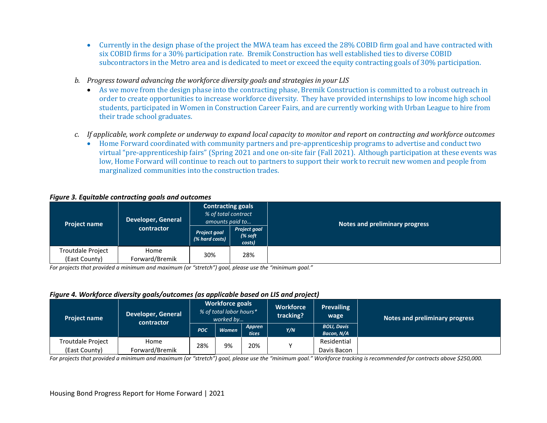- Currently in the design phase of the project the MWA team has exceed the 28% COBID firm goal and have contracted with six COBID firms for a 30% participation rate. Bremik Construction has well established ties to diverse COBID subcontractors in the Metro area and is dedicated to meet or exceed the equity contracting goals of 30% participation.
- *b. Progress toward advancing the workforce diversity goals and strategies in your LIS*
	- As we move from the design phase into the contracting phase, Bremik Construction is committed to a robust outreach in order to create opportunities to increase workforce diversity. They have provided internships to low income high school students, participated in Women in Construction Career Fairs, and are currently working with Urban League to hire from their trade school graduates.
- *c. If applicable, work complete or underway to expand local capacity to monitor and report on contracting and workforce outcomes*
	- Home Forward coordinated with community partners and pre-apprenticeship programs to advertise and conduct two virtual "pre-apprenticeship fairs" (Spring 2021 and one on-site fair (Fall 2021). Although participation at these events was low, Home Forward will continue to reach out to partners to support their work to recruit new women and people from marginalized communities into the construction trades.

#### *Figure 3. Equitable contracting goals and outcomes*

| <b>Project name</b>                | <b>Developer, General</b> | <b>Contracting goals</b><br>% of total contract<br>amounts paid to |                                           | <b>Notes and preliminary progress</b> |
|------------------------------------|---------------------------|--------------------------------------------------------------------|-------------------------------------------|---------------------------------------|
|                                    | contractor                | <b>Project goal</b><br>(% hard costs)                              | <b>Project goal</b><br>$%$ soft<br>costs) |                                       |
| Troutdale Project<br>(East County) | Home<br>Forward/Bremik    | 30%                                                                | 28%                                       |                                       |

*For projects that provided a minimum and maximum (or "stretch") goal, please use the "minimum goal."*

#### *Figure 4. Workforce diversity goals/outcomes (as applicable based on LIS and project)*

| <b>Project name</b>                       | Developer, General<br>contractor | <b>Workforce goals</b><br>% of total labor hours*<br>worked by |              | <b>Workforce</b><br>tracking? | <b>Prevailing</b><br>wage | Notes and preliminary progress   |  |
|-------------------------------------------|----------------------------------|----------------------------------------------------------------|--------------|-------------------------------|---------------------------|----------------------------------|--|
|                                           |                                  | <b>POC</b>                                                     | <b>Women</b> | Appren<br>tices               | Y/N                       | <b>BOLI, Davis</b><br>Bacon, N/A |  |
| <b>Troutdale Project</b><br>(East County) | Home<br>Forward/Bremik           | 28%                                                            | 9%           | 20%                           |                           | Residential<br>Davis Bacon       |  |

*For projects that provided a minimum and maximum (or "stretch") goal, please use the "minimum goal." Workforce tracking is recommended for contracts above \$250,000.*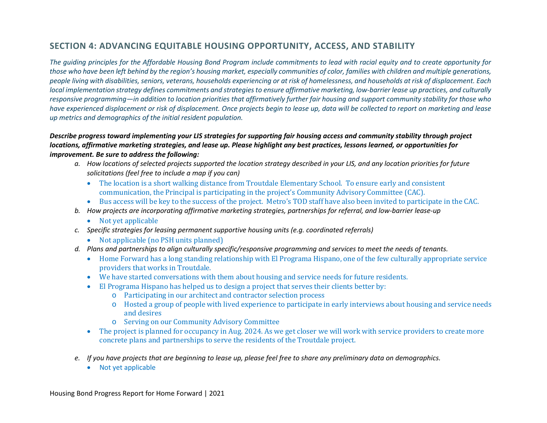# **SECTION 4: ADVANCING EQUITABLE HOUSING OPPORTUNITY, ACCESS, AND STABILITY**

*The guiding principles for the Affordable Housing Bond Program include commitments to lead with racial equity and to create opportunity for those who have been left behind by the region's housing market, especially communities of color, families with children and multiple generations, people living with disabilities, seniors, veterans, households experiencing or at risk of homelessness, and households at risk of displacement. Each local implementation strategy defines commitments and strategies to ensure affirmative marketing, low-barrier lease up practices, and culturally responsive programming—in addition to location priorities that affirmatively further fair housing and support community stability for those who have experienced displacement or risk of displacement. Once projects begin to lease up, data will be collected to report on marketing and lease up metrics and demographics of the initial resident population.* 

### *Describe progress toward implementing your LIS strategies for supporting fair housing access and community stability through project locations, affirmative marketing strategies, and lease up. Please highlight any best practices, lessons learned, or opportunities for improvement. Be sure to address the following:*

- *a. How locations of selected projects supported the location strategy described in your LIS, and any location priorities for future solicitations (feel free to include a map if you can)*
	- The location is a short walking distance from Troutdale Elementary School. To ensure early and consistent communication, the Principal is participating in the project's Community Advisory Committee (CAC).
	- Bus access will be key to the success of the project. Metro's TOD staff have also been invited to participate in the CAC.
- *b. How projects are incorporating affirmative marketing strategies, partnerships for referral, and low-barrier lease-up*
	- Not yet applicable
- *c. Specific strategies for leasing permanent supportive housing units (e.g. coordinated referrals)*
	- Not applicable (no PSH units planned)
- *d. Plans and partnerships to align culturally specific/responsive programming and services to meet the needs of tenants.*
	- Home Forward has a long standing relationship with El Programa Hispano, one of the few culturally appropriate service providers that works in Troutdale.
	- We have started conversations with them about housing and service needs for future residents.
	- El Programa Hispano has helped us to design a project that serves their clients better by:
		- o Participating in our architect and contractor selection process
		- o Hosted a group of people with lived experience to participate in early interviews about housing and service needs and desires
		- o Serving on our Community Advisory Committee
	- The project is planned for occupancy in Aug. 2024. As we get closer we will work with service providers to create more concrete plans and partnerships to serve the residents of the Troutdale project.
- *e. If you have projects that are beginning to lease up, please feel free to share any preliminary data on demographics.*
	- Not yet applicable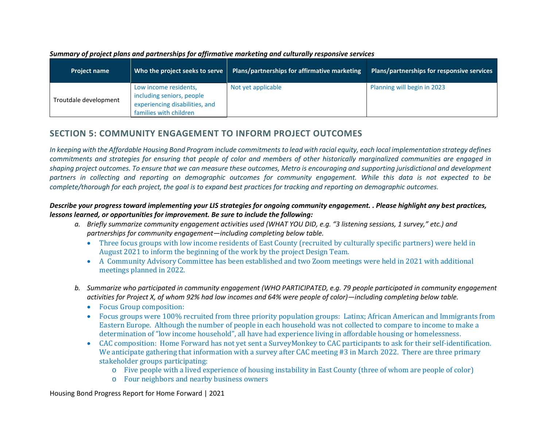| <b>Project name</b>   | Who the project seeks to serve                                                                                 | Plans/partnerships for affirmative marketing | Plans/partnerships for responsive services |
|-----------------------|----------------------------------------------------------------------------------------------------------------|----------------------------------------------|--------------------------------------------|
| Troutdale development | Low income residents,<br>including seniors, people<br>experiencing disabilities, and<br>families with children | Not yet applicable                           | Planning will begin in 2023                |

#### *Summary of project plans and partnerships for affirmative marketing and culturally responsive services*

# **SECTION 5: COMMUNITY ENGAGEMENT TO INFORM PROJECT OUTCOMES**

*In keeping with the Affordable Housing Bond Program include commitments to lead with racial equity, each local implementation strategy defines commitments and strategies for ensuring that people of color and members of other historically marginalized communities are engaged in shaping project outcomes. To ensure that we can measure these outcomes, Metro is encouraging and supporting jurisdictional and development partners in collecting and reporting on demographic outcomes for community engagement. While this data is not expected to be complete/thorough for each project, the goal is to expand best practices for tracking and reporting on demographic outcomes.* 

### *Describe your progress toward implementing your LIS strategies for ongoing community engagement. . Please highlight any best practices, lessons learned, or opportunities for improvement. Be sure to include the following:*

- *a. Briefly summarize community engagement activities used (WHAT YOU DID, e.g. "3 listening sessions, 1 survey," etc.) and partnerships for community engagement—including completing below table.*
	- Three focus groups with low income residents of East County (recruited by culturally specific partners) were held in August 2021 to inform the beginning of the work by the project Design Team.
	- A Community Advisory Committee has been established and two Zoom meetings were held in 2021 with additional meetings planned in 2022.
- *b. Summarize who participated in community engagement (WHO PARTICIPATED, e.g. 79 people participated in community engagement activities for Project X, of whom 92% had low incomes and 64% were people of color)—including completing below table.* 
	- Focus Group composition:
	- Focus groups were 100% recruited from three priority population groups: Latinx; African American and Immigrants from Eastern Europe. Although the number of people in each household was not collected to compare to income to make a determination of "low income household", all have had experience living in affordable housing or homelessness.
	- CAC composition: Home Forward has not yet sent a SurveyMonkey to CAC participants to ask for their self-identification. We anticipate gathering that information with a survey after CAC meeting #3 in March 2022. There are three primary stakeholder groups participating:
		- o Five people with a lived experience of housing instability in East County (three of whom are people of color)
		- o Four neighbors and nearby business owners

Housing Bond Progress Report for Home Forward | 2021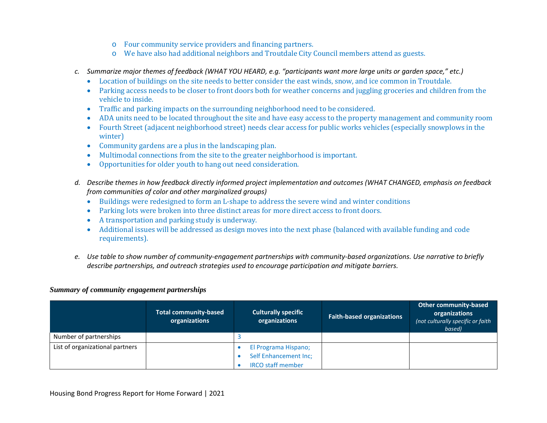- o Four community service providers and financing partners.
- o We have also had additional neighbors and Troutdale City Council members attend as guests.
- *c. Summarize major themes of feedback (WHAT YOU HEARD, e.g. "participants want more large units or garden space," etc.)*
	- Location of buildings on the site needs to better consider the east winds, snow, and ice common in Troutdale.
	- Parking access needs to be closer to front doors both for weather concerns and juggling groceries and children from the vehicle to inside.
	- Traffic and parking impacts on the surrounding neighborhood need to be considered.
	- ADA units need to be located throughout the site and have easy access to the property management and community room
	- Fourth Street (adjacent neighborhood street) needs clear access for public works vehicles (especially snowplows in the winter)
	- Community gardens are a plus in the landscaping plan.
	- Multimodal connections from the site to the greater neighborhood is important.
	- Opportunities for older youth to hang out need consideration.
- *d. Describe themes in how feedback directly informed project implementation and outcomes (WHAT CHANGED, emphasis on feedback from communities of color and other marginalized groups)*
	- Buildings were redesigned to form an L-shape to address the severe wind and winter conditions
	- Parking lots were broken into three distinct areas for more direct access to front doors.
	- A transportation and parking study is underway.
	- Additional issues will be addressed as design moves into the next phase (balanced with available funding and code requirements).
- *e. Use table to show number of community-engagement partnerships with community-based organizations. Use narrative to briefly describe partnerships, and outreach strategies used to encourage participation and mitigate barriers.*

### *Summary of community engagement partnerships*

|                                 | <b>Total community-based</b><br>organizations | <b>Culturally specific</b><br>organizations                               | <b>Faith-based organizations</b> | <b>Other community-based</b><br>organizations<br>(not culturally specific or faith)<br>based) |
|---------------------------------|-----------------------------------------------|---------------------------------------------------------------------------|----------------------------------|-----------------------------------------------------------------------------------------------|
| Number of partnerships          |                                               |                                                                           |                                  |                                                                                               |
| List of organizational partners |                                               | El Programa Hispano;<br>Self Enhancement Inc;<br><b>IRCO staff member</b> |                                  |                                                                                               |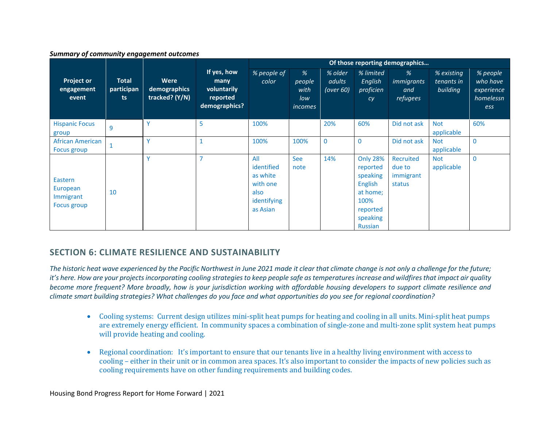#### *Summary of community engagement outcomes*

|                                                 |                                   |                                        |                                                                 | Of those reporting demographics                                              |                                       |                                |                                                                                                                         |                                            |                                      |                                                        |
|-------------------------------------------------|-----------------------------------|----------------------------------------|-----------------------------------------------------------------|------------------------------------------------------------------------------|---------------------------------------|--------------------------------|-------------------------------------------------------------------------------------------------------------------------|--------------------------------------------|--------------------------------------|--------------------------------------------------------|
| <b>Project or</b><br>engagement<br>event        | <b>Total</b><br>participan<br>ts. | Were<br>demographics<br>tracked? (Y/N) | If yes, how<br>many<br>voluntarily<br>reported<br>demographics? | % people of<br>color                                                         | %<br>people<br>with<br>low<br>incomes | % older<br>adults<br>(over 60) | % limited<br>English<br>proficien<br>cy                                                                                 | %<br>immigrants<br>and<br>refugees         | % existing<br>tenants in<br>building | % people<br>who have<br>experience<br>homelessn<br>ess |
| <b>Hispanic Focus</b><br>group                  | 9                                 | Y                                      | 5                                                               | 100%                                                                         |                                       | 20%                            | 60%                                                                                                                     | Did not ask                                | <b>Not</b><br>applicable             | 60%                                                    |
| <b>African American</b><br>Focus group          |                                   | $\checkmark$                           | $\mathbf{1}$                                                    | 100%                                                                         | 100%                                  | $\overline{0}$                 | $\Omega$                                                                                                                | Did not ask                                | <b>Not</b><br>applicable             | $\Omega$                                               |
| Eastern<br>European<br>Immigrant<br>Focus group | 10                                | Ÿ                                      | $\overline{7}$                                                  | All<br>identified<br>as white<br>with one<br>also<br>identifying<br>as Asian | See<br>note                           | 14%                            | <b>Only 28%</b><br>reported<br>speaking<br><b>English</b><br>at home;<br>100%<br>reported<br>speaking<br><b>Russian</b> | Recruited<br>due to<br>immigrant<br>status | <b>Not</b><br>applicable             | $\mathbf{0}$                                           |

### **SECTION 6: CLIMATE RESILIENCE AND SUSTAINABILITY**

*The historic heat wave experienced by the Pacific Northwest in June 2021 made it clear that climate change is not only a challenge for the future; it's here. How are your projects incorporating cooling strategies to keep people safe as temperatures increase and wildfires that impact air quality become more frequent? More broadly, how is your jurisdiction working with affordable housing developers to support climate resilience and climate smart building strategies? What challenges do you face and what opportunities do you see for regional coordination?* 

- Cooling systems: Current design utilizes mini-split heat pumps for heating and cooling in all units. Mini-split heat pumps are extremely energy efficient. In community spaces a combination of single-zone and multi-zone split system heat pumps will provide heating and cooling.
- Regional coordination: It's important to ensure that our tenants live in a healthy living environment with access to cooling – either in their unit or in common area spaces. It's also important to consider the impacts of new policies such as cooling requirements have on other funding requirements and building codes.